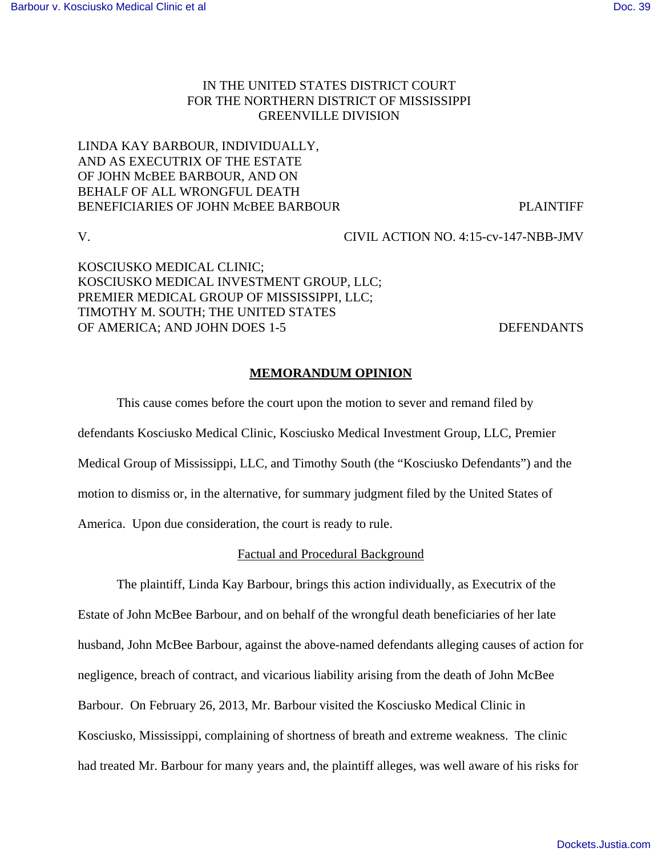# IN THE UNITED STATES DISTRICT COURT FOR THE NORTHERN DISTRICT OF MISSISSIPPI GREENVILLE DIVISION

# LINDA KAY BARBOUR, INDIVIDUALLY, AND AS EXECUTRIX OF THE ESTATE OF JOHN McBEE BARBOUR, AND ON BEHALF OF ALL WRONGFUL DEATH BENEFICIARIES OF JOHN McBEE BARBOUR PLAINTIFF

V. CIVIL ACTION NO. 4:15-cv-147-NBB-JMV

KOSCIUSKO MEDICAL CLINIC; KOSCIUSKO MEDICAL INVESTMENT GROUP, LLC; PREMIER MEDICAL GROUP OF MISSISSIPPI, LLC; TIMOTHY M. SOUTH; THE UNITED STATES OF AMERICA; AND JOHN DOES 1-5 DEFENDANTS

## **MEMORANDUM OPINION**

This cause comes before the court upon the motion to sever and remand filed by defendants Kosciusko Medical Clinic, Kosciusko Medical Investment Group, LLC, Premier Medical Group of Mississippi, LLC, and Timothy South (the "Kosciusko Defendants") and the motion to dismiss or, in the alternative, for summary judgment filed by the United States of America. Upon due consideration, the court is ready to rule.

### Factual and Procedural Background

The plaintiff, Linda Kay Barbour, brings this action individually, as Executrix of the Estate of John McBee Barbour, and on behalf of the wrongful death beneficiaries of her late husband, John McBee Barbour, against the above-named defendants alleging causes of action for negligence, breach of contract, and vicarious liability arising from the death of John McBee Barbour. On February 26, 2013, Mr. Barbour visited the Kosciusko Medical Clinic in Kosciusko, Mississippi, complaining of shortness of breath and extreme weakness. The clinic had treated Mr. Barbour for many years and, the plaintiff alleges, was well aware of his risks for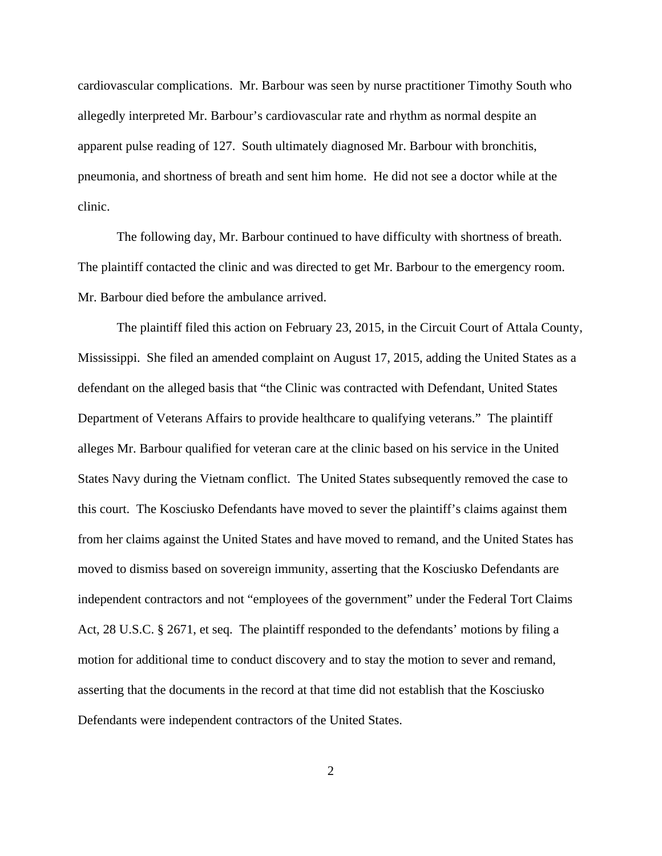cardiovascular complications. Mr. Barbour was seen by nurse practitioner Timothy South who allegedly interpreted Mr. Barbour's cardiovascular rate and rhythm as normal despite an apparent pulse reading of 127. South ultimately diagnosed Mr. Barbour with bronchitis, pneumonia, and shortness of breath and sent him home. He did not see a doctor while at the clinic.

The following day, Mr. Barbour continued to have difficulty with shortness of breath. The plaintiff contacted the clinic and was directed to get Mr. Barbour to the emergency room. Mr. Barbour died before the ambulance arrived.

The plaintiff filed this action on February 23, 2015, in the Circuit Court of Attala County, Mississippi. She filed an amended complaint on August 17, 2015, adding the United States as a defendant on the alleged basis that "the Clinic was contracted with Defendant, United States Department of Veterans Affairs to provide healthcare to qualifying veterans." The plaintiff alleges Mr. Barbour qualified for veteran care at the clinic based on his service in the United States Navy during the Vietnam conflict. The United States subsequently removed the case to this court. The Kosciusko Defendants have moved to sever the plaintiff's claims against them from her claims against the United States and have moved to remand, and the United States has moved to dismiss based on sovereign immunity, asserting that the Kosciusko Defendants are independent contractors and not "employees of the government" under the Federal Tort Claims Act, 28 U.S.C. § 2671, et seq. The plaintiff responded to the defendants' motions by filing a motion for additional time to conduct discovery and to stay the motion to sever and remand, asserting that the documents in the record at that time did not establish that the Kosciusko Defendants were independent contractors of the United States.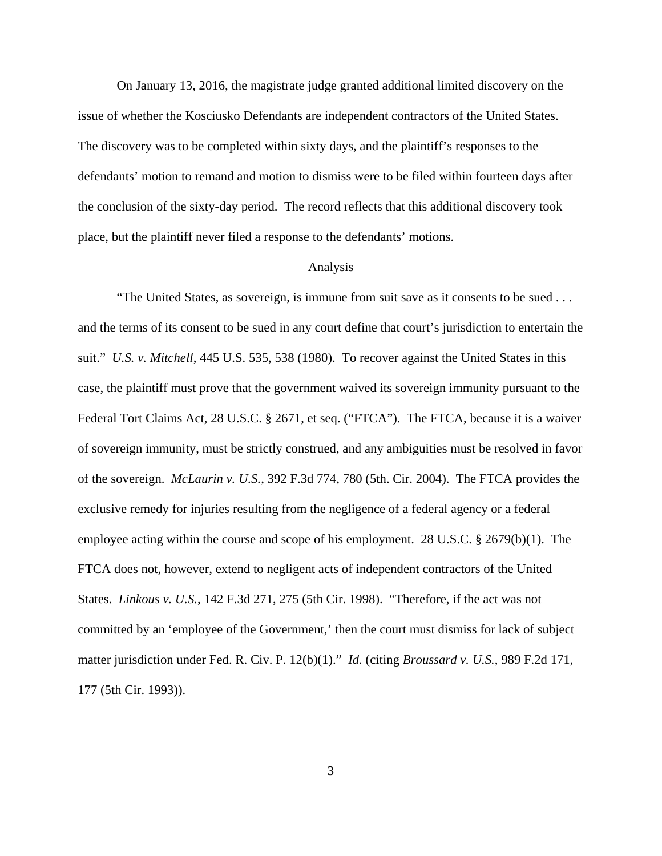On January 13, 2016, the magistrate judge granted additional limited discovery on the issue of whether the Kosciusko Defendants are independent contractors of the United States. The discovery was to be completed within sixty days, and the plaintiff's responses to the defendants' motion to remand and motion to dismiss were to be filed within fourteen days after the conclusion of the sixty-day period. The record reflects that this additional discovery took place, but the plaintiff never filed a response to the defendants' motions.

#### Analysis

"The United States, as sovereign, is immune from suit save as it consents to be sued . . . and the terms of its consent to be sued in any court define that court's jurisdiction to entertain the suit." *U.S. v. Mitchell*, 445 U.S. 535, 538 (1980). To recover against the United States in this case, the plaintiff must prove that the government waived its sovereign immunity pursuant to the Federal Tort Claims Act, 28 U.S.C. § 2671, et seq. ("FTCA"). The FTCA, because it is a waiver of sovereign immunity, must be strictly construed, and any ambiguities must be resolved in favor of the sovereign. *McLaurin v. U.S.*, 392 F.3d 774, 780 (5th. Cir. 2004). The FTCA provides the exclusive remedy for injuries resulting from the negligence of a federal agency or a federal employee acting within the course and scope of his employment. 28 U.S.C. § 2679(b)(1). The FTCA does not, however, extend to negligent acts of independent contractors of the United States. *Linkous v. U.S.*, 142 F.3d 271, 275 (5th Cir. 1998). "Therefore, if the act was not committed by an 'employee of the Government,' then the court must dismiss for lack of subject matter jurisdiction under Fed. R. Civ. P. 12(b)(1)." *Id.* (citing *Broussard v. U.S.*, 989 F.2d 171, 177 (5th Cir. 1993)).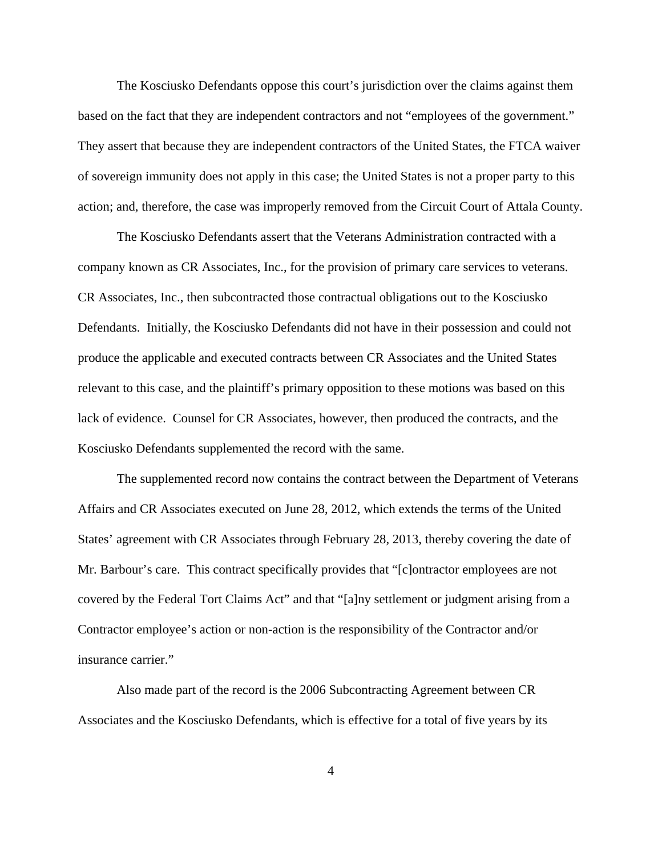The Kosciusko Defendants oppose this court's jurisdiction over the claims against them based on the fact that they are independent contractors and not "employees of the government." They assert that because they are independent contractors of the United States, the FTCA waiver of sovereign immunity does not apply in this case; the United States is not a proper party to this action; and, therefore, the case was improperly removed from the Circuit Court of Attala County.

The Kosciusko Defendants assert that the Veterans Administration contracted with a company known as CR Associates, Inc., for the provision of primary care services to veterans. CR Associates, Inc., then subcontracted those contractual obligations out to the Kosciusko Defendants. Initially, the Kosciusko Defendants did not have in their possession and could not produce the applicable and executed contracts between CR Associates and the United States relevant to this case, and the plaintiff's primary opposition to these motions was based on this lack of evidence. Counsel for CR Associates, however, then produced the contracts, and the Kosciusko Defendants supplemented the record with the same.

The supplemented record now contains the contract between the Department of Veterans Affairs and CR Associates executed on June 28, 2012, which extends the terms of the United States' agreement with CR Associates through February 28, 2013, thereby covering the date of Mr. Barbour's care. This contract specifically provides that "[c]ontractor employees are not covered by the Federal Tort Claims Act" and that "[a]ny settlement or judgment arising from a Contractor employee's action or non-action is the responsibility of the Contractor and/or insurance carrier."

Also made part of the record is the 2006 Subcontracting Agreement between CR Associates and the Kosciusko Defendants, which is effective for a total of five years by its

4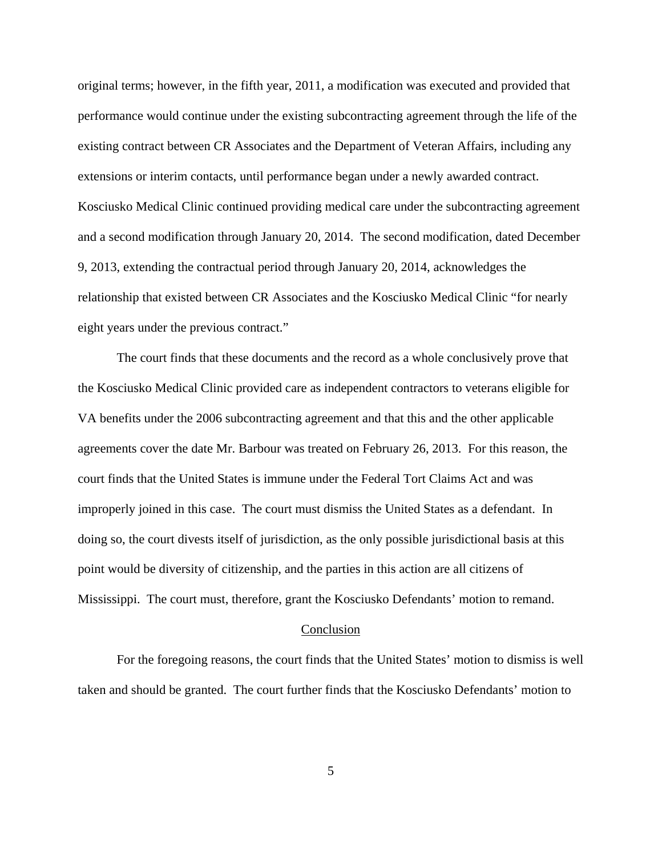original terms; however, in the fifth year, 2011, a modification was executed and provided that performance would continue under the existing subcontracting agreement through the life of the existing contract between CR Associates and the Department of Veteran Affairs, including any extensions or interim contacts, until performance began under a newly awarded contract. Kosciusko Medical Clinic continued providing medical care under the subcontracting agreement and a second modification through January 20, 2014. The second modification, dated December 9, 2013, extending the contractual period through January 20, 2014, acknowledges the relationship that existed between CR Associates and the Kosciusko Medical Clinic "for nearly eight years under the previous contract."

The court finds that these documents and the record as a whole conclusively prove that the Kosciusko Medical Clinic provided care as independent contractors to veterans eligible for VA benefits under the 2006 subcontracting agreement and that this and the other applicable agreements cover the date Mr. Barbour was treated on February 26, 2013. For this reason, the court finds that the United States is immune under the Federal Tort Claims Act and was improperly joined in this case. The court must dismiss the United States as a defendant. In doing so, the court divests itself of jurisdiction, as the only possible jurisdictional basis at this point would be diversity of citizenship, and the parties in this action are all citizens of Mississippi. The court must, therefore, grant the Kosciusko Defendants' motion to remand.

#### Conclusion

For the foregoing reasons, the court finds that the United States' motion to dismiss is well taken and should be granted. The court further finds that the Kosciusko Defendants' motion to

5